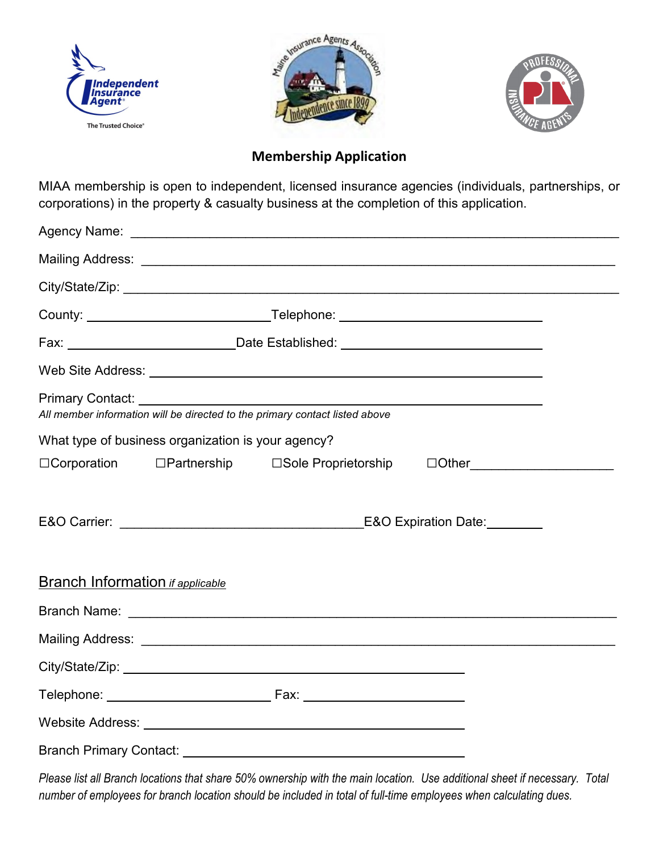





## **Membership Application**

MIAA membership is open to independent, licensed insurance agencies (individuals, partnerships, or corporations) in the property & casualty business at the completion of this application.

|                                         | County: ___________________________________Telephone: __________________________                                                                                                                                                                       |                                                                                                                                                                                                                                                                                                                    |                                 |  |  |  |
|-----------------------------------------|--------------------------------------------------------------------------------------------------------------------------------------------------------------------------------------------------------------------------------------------------------|--------------------------------------------------------------------------------------------------------------------------------------------------------------------------------------------------------------------------------------------------------------------------------------------------------------------|---------------------------------|--|--|--|
|                                         |                                                                                                                                                                                                                                                        |                                                                                                                                                                                                                                                                                                                    |                                 |  |  |  |
|                                         |                                                                                                                                                                                                                                                        |                                                                                                                                                                                                                                                                                                                    |                                 |  |  |  |
|                                         |                                                                                                                                                                                                                                                        | Primary Contact: <u>December 2008</u> Contact: December 2008 Contact: 2008 Contact: 2008 Contact: 2008 Contact: 2008 Contact: 2008 Contact: 2008 Contact: 2008 Contact: 2008 Contact: 2008 Contact: 2008 Contact: 2008 Contact: 200<br>All member information will be directed to the primary contact listed above |                                 |  |  |  |
|                                         | What type of business organization is your agency?                                                                                                                                                                                                     |                                                                                                                                                                                                                                                                                                                    |                                 |  |  |  |
|                                         |                                                                                                                                                                                                                                                        | □Corporation □Partnership □Sole Proprietorship                                                                                                                                                                                                                                                                     | □Other_________________________ |  |  |  |
|                                         | E&O Carrier: William Contract Contract Contract Contract Contract Contract Contract Contract Contract Contract Contract Contract Contract Contract Contract Contract Contract Contract Contract Contract Contract Contract Con<br>E&O Expiration Date: |                                                                                                                                                                                                                                                                                                                    |                                 |  |  |  |
| <b>Branch Information if applicable</b> |                                                                                                                                                                                                                                                        |                                                                                                                                                                                                                                                                                                                    |                                 |  |  |  |
|                                         |                                                                                                                                                                                                                                                        |                                                                                                                                                                                                                                                                                                                    |                                 |  |  |  |
|                                         |                                                                                                                                                                                                                                                        |                                                                                                                                                                                                                                                                                                                    |                                 |  |  |  |
|                                         |                                                                                                                                                                                                                                                        |                                                                                                                                                                                                                                                                                                                    |                                 |  |  |  |
|                                         |                                                                                                                                                                                                                                                        |                                                                                                                                                                                                                                                                                                                    |                                 |  |  |  |
|                                         |                                                                                                                                                                                                                                                        |                                                                                                                                                                                                                                                                                                                    |                                 |  |  |  |
|                                         |                                                                                                                                                                                                                                                        |                                                                                                                                                                                                                                                                                                                    |                                 |  |  |  |

*Please list all Branch locations that share 50% ownership with the main location. Use additional sheet if necessary. Total number of employees for branch location should be included in total of full-time employees when calculating dues.*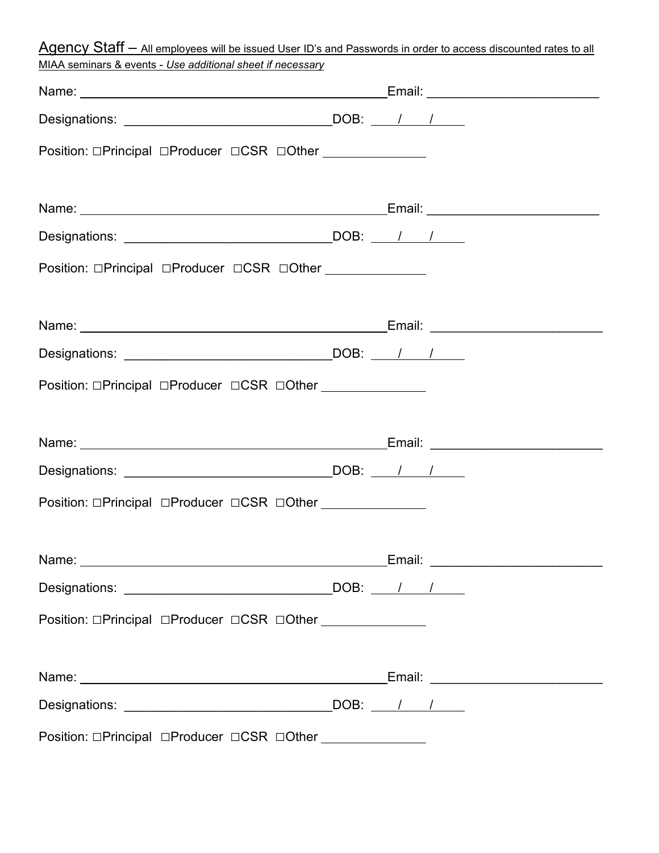| Agency Staff - All employees will be issued User ID's and Passwords in order to access discounted rates to all |  |  |
|----------------------------------------------------------------------------------------------------------------|--|--|
| MIAA seminars & events - Use additional sheet if necessary                                                     |  |  |
|                                                                                                                |  |  |
|                                                                                                                |  |  |
| Position: □Principal □Producer □CSR □Other ______________                                                      |  |  |
|                                                                                                                |  |  |
|                                                                                                                |  |  |
| Designations: $\qquad \qquad$ DOB: $\qquad \qquad$ / $\qquad$                                                  |  |  |
| Position: □Principal □Producer □CSR □Other ______________                                                      |  |  |
|                                                                                                                |  |  |
|                                                                                                                |  |  |
| Designations: Designations: DOB: 1                                                                             |  |  |
| Position: □Principal □Producer □CSR □Other                                                                     |  |  |
|                                                                                                                |  |  |
|                                                                                                                |  |  |
|                                                                                                                |  |  |
| Position: □Principal □Producer □CSR □Other _______________                                                     |  |  |
|                                                                                                                |  |  |
|                                                                                                                |  |  |
|                                                                                                                |  |  |
| Position: □Principal □Producer □CSR □Other _______________                                                     |  |  |
|                                                                                                                |  |  |
|                                                                                                                |  |  |
|                                                                                                                |  |  |
| Position: □Principal □Producer □CSR □Other _______________                                                     |  |  |